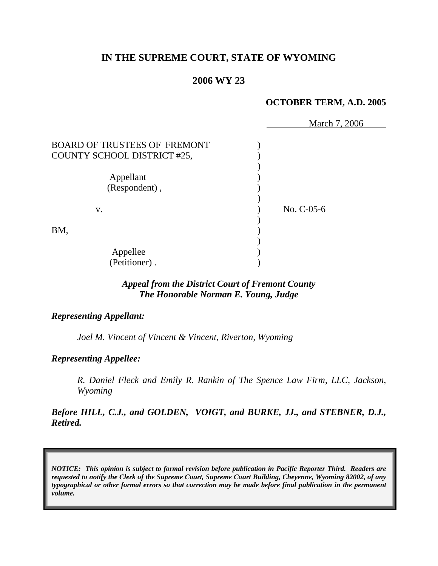# **IN THE SUPREME COURT, STATE OF WYOMING**

# **2006 WY 23**

# **OCTOBER TERM, A.D. 2005**

|                                     | March 7, 2006 |
|-------------------------------------|---------------|
| <b>BOARD OF TRUSTEES OF FREMONT</b> |               |
| COUNTY SCHOOL DISTRICT #25,         |               |
|                                     |               |
| Appellant                           |               |
| (Respondent),                       |               |
|                                     |               |
| V.                                  | No. C-05-6    |
|                                     |               |
| BM,                                 |               |
|                                     |               |
| Appellee                            |               |
| (Petitioner).                       |               |

# *Appeal from the District Court of Fremont County The Honorable Norman E. Young, Judge*

# *Representing Appellant:*

*Joel M. Vincent of Vincent & Vincent, Riverton, Wyoming* 

# *Representing Appellee:*

*R. Daniel Fleck and Emily R. Rankin of The Spence Law Firm, LLC, Jackson, Wyoming* 

*Before HILL, C.J., and GOLDEN, VOIGT, and BURKE, JJ., and STEBNER, D.J., Retired.* 

*NOTICE: This opinion is subject to formal revision before publication in Pacific Reporter Third. Readers are requested to notify the Clerk of the Supreme Court, Supreme Court Building, Cheyenne, Wyoming 82002, of any typographical or other formal errors so that correction may be made before final publication in the permanent volume.*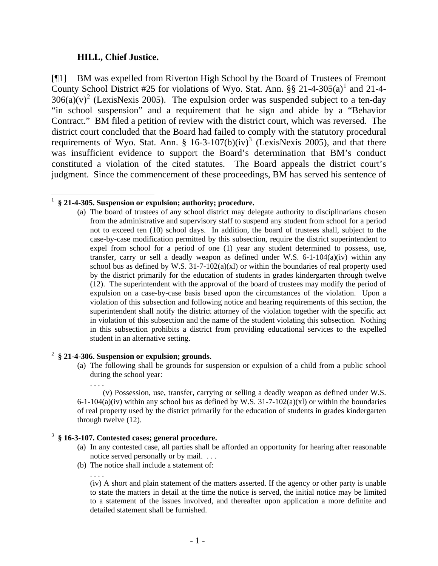### **HILL, Chief Justice.**

[¶1] BM was expelled from Riverton High School by the Board of Trustees of Fremont County School District #25 for violations of Wyo. Stat. Ann.  $\S\S 21-4-305(a)^1$  $\S\S 21-4-305(a)^1$  $\S\S 21-4-305(a)^1$  and 21-4- $306(a)(v)^2$  $306(a)(v)^2$  (LexisNexis 2005). The expulsion order was suspended subject to a ten-day "in school suspension" and a requirement that he sign and abide by a "Behavior Contract." BM filed a petition of review with the district court, which was reversed. The district court concluded that the Board had failed to comply with the statutory procedural requirements of Wyo. Stat. Ann. §  $16-3-107(b)(iv)^3$  $16-3-107(b)(iv)^3$  $16-3-107(b)(iv)^3$  (LexisNexis 2005), and that there was insufficient evidence to support the Board's determination that BM's conduct constituted a violation of the cited statutes. The Board appeals the district court's judgment. Since the commencement of these proceedings, BM has served his sentence of

#### <span id="page-1-0"></span> 1 **§ 21-4-305. Suspension or expulsion; authority; procedure.**

(a) The board of trustees of any school district may delegate authority to disciplinarians chosen from the administrative and supervisory staff to suspend any student from school for a period not to exceed ten (10) school days. In addition, the board of trustees shall, subject to the case-by-case modification permitted by this subsection, require the district superintendent to expel from school for a period of one (1) year any student determined to possess, use, transfer, carry or sell a deadly weapon as defined under W.S.  $6-1-104(a)(iv)$  within any school bus as defined by W.S.  $31-7-102(a)(x)$  or within the boundaries of real property used by the district primarily for the education of students in grades kindergarten through twelve (12). The superintendent with the approval of the board of trustees may modify the period of expulsion on a case-by-case basis based upon the circumstances of the violation. Upon a violation of this subsection and following notice and hearing requirements of this section, the superintendent shall notify the district attorney of the violation together with the specific act in violation of this subsection and the name of the student violating this subsection. Nothing in this subsection prohibits a district from providing educational services to the expelled student in an alternative setting.

#### <span id="page-1-1"></span>2 **§ 21-4-306. Suspension or expulsion; grounds.**

(a) The following shall be grounds for suspension or expulsion of a child from a public school during the school year:

. . . . (v) Possession, use, transfer, carrying or selling a deadly weapon as defined under W.S. 6-1-104(a)(iv) within any school bus as defined by W.S.  $31$ -7-102(a)(xl) or within the boundaries of real property used by the district primarily for the education of students in grades kindergarten through twelve (12).

# <span id="page-1-2"></span>3 **§ 16-3-107. Contested cases; general procedure.**

- (a) In any contested case, all parties shall be afforded an opportunity for hearing after reasonable notice served personally or by mail. . . .
- (b) The notice shall include a statement of:

. . . .

(iv) A short and plain statement of the matters asserted. If the agency or other party is unable to state the matters in detail at the time the notice is served, the initial notice may be limited to a statement of the issues involved, and thereafter upon application a more definite and detailed statement shall be furnished.